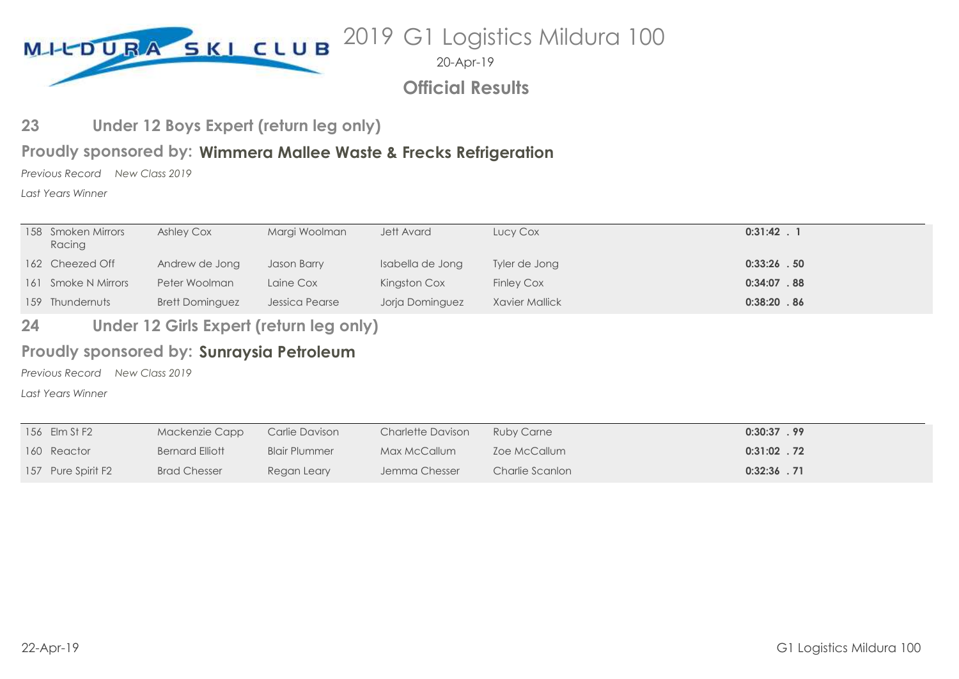

2019 G1 Logistics Mildura 100

20-Apr-19

**Official Results**

#### **Under 12 Boys Expert (return leg only) 23**

### **Wimmera Mallee Waste & Frecks Refrigeration Proudly sponsored by:**

*Previous Record New Class 2019*

*Last Years Winner*

| Racing                                                                         | Lucy Cox<br>$0:31:42$ . 1           |
|--------------------------------------------------------------------------------|-------------------------------------|
| 162 Cheezed Off<br>Isabella de Jong<br>Andrew de Jong<br>Jason Barry           | $0:33:26$ . 50<br>Tyler de Jong     |
| 161 Smoke N Mirrors<br>Peter Woolman<br>Kingston Cox<br>Laine Cox              | $0:34:07$ . 88<br><b>Finley Cox</b> |
| <b>Brett Dominguez</b><br>Jessica Pearse<br>Jorja Dominguez<br>159 Thundernuts | 0:38:20.86<br>Xavier Mallick        |

#### **Under 12 Girls Expert (return leg only) 24**

### Proudly sponsored by: Sunraysia Petroleum

*Previous Record New Class 2019*

*Last Years Winner*

| 156 Elm St F2      | Mackenzie Capp      | Carlie Davison       | Charlette Davison | <b>Ruby Carne</b> | $0:30:37$ . 99 |
|--------------------|---------------------|----------------------|-------------------|-------------------|----------------|
| 160 Reactor        | Bernard Elliott     | <b>Blair Plummer</b> | Max McCallum      | Zoe McCallum      | $0:31:02$ . 72 |
| 157 Pure Spirit F2 | <b>Brad Chesser</b> | Regan Leary          | Jemma Chesser     | Charlie Scanlon   | $0:32:36$ . 71 |